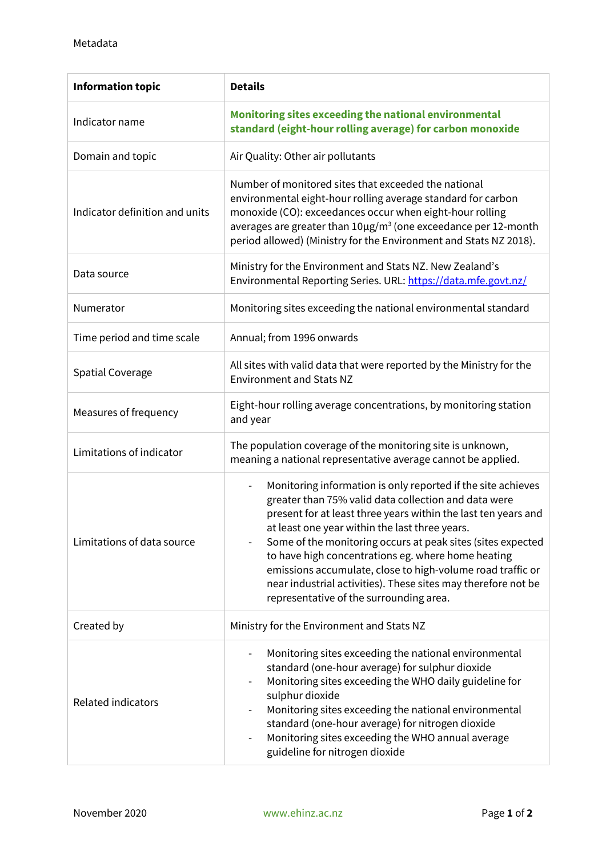| <b>Information topic</b>       | <b>Details</b>                                                                                                                                                                                                                                                                                                                                                                                                                                                                                                                                                      |
|--------------------------------|---------------------------------------------------------------------------------------------------------------------------------------------------------------------------------------------------------------------------------------------------------------------------------------------------------------------------------------------------------------------------------------------------------------------------------------------------------------------------------------------------------------------------------------------------------------------|
| Indicator name                 | Monitoring sites exceeding the national environmental<br>standard (eight-hour rolling average) for carbon monoxide                                                                                                                                                                                                                                                                                                                                                                                                                                                  |
| Domain and topic               | Air Quality: Other air pollutants                                                                                                                                                                                                                                                                                                                                                                                                                                                                                                                                   |
| Indicator definition and units | Number of monitored sites that exceeded the national<br>environmental eight-hour rolling average standard for carbon<br>monoxide (CO): exceedances occur when eight-hour rolling<br>averages are greater than 10µg/m <sup>3</sup> (one exceedance per 12-month<br>period allowed) (Ministry for the Environment and Stats NZ 2018).                                                                                                                                                                                                                                 |
| Data source                    | Ministry for the Environment and Stats NZ. New Zealand's<br>Environmental Reporting Series. URL: https://data.mfe.govt.nz/                                                                                                                                                                                                                                                                                                                                                                                                                                          |
| Numerator                      | Monitoring sites exceeding the national environmental standard                                                                                                                                                                                                                                                                                                                                                                                                                                                                                                      |
| Time period and time scale     | Annual; from 1996 onwards                                                                                                                                                                                                                                                                                                                                                                                                                                                                                                                                           |
| <b>Spatial Coverage</b>        | All sites with valid data that were reported by the Ministry for the<br><b>Environment and Stats NZ</b>                                                                                                                                                                                                                                                                                                                                                                                                                                                             |
| Measures of frequency          | Eight-hour rolling average concentrations, by monitoring station<br>and year                                                                                                                                                                                                                                                                                                                                                                                                                                                                                        |
| Limitations of indicator       | The population coverage of the monitoring site is unknown,<br>meaning a national representative average cannot be applied.                                                                                                                                                                                                                                                                                                                                                                                                                                          |
| Limitations of data source     | Monitoring information is only reported if the site achieves<br>$\overline{\phantom{0}}$<br>greater than 75% valid data collection and data were<br>present for at least three years within the last ten years and<br>at least one year within the last three years.<br>Some of the monitoring occurs at peak sites (sites expected<br>to have high concentrations eg. where home heating<br>emissions accumulate, close to high-volume road traffic or<br>near industrial activities). These sites may therefore not be<br>representative of the surrounding area. |
| Created by                     | Ministry for the Environment and Stats NZ                                                                                                                                                                                                                                                                                                                                                                                                                                                                                                                           |
| <b>Related indicators</b>      | Monitoring sites exceeding the national environmental<br>$\overline{\phantom{a}}$<br>standard (one-hour average) for sulphur dioxide<br>Monitoring sites exceeding the WHO daily guideline for<br>sulphur dioxide<br>Monitoring sites exceeding the national environmental<br>standard (one-hour average) for nitrogen dioxide<br>Monitoring sites exceeding the WHO annual average<br>$\overline{\phantom{0}}$<br>guideline for nitrogen dioxide                                                                                                                   |